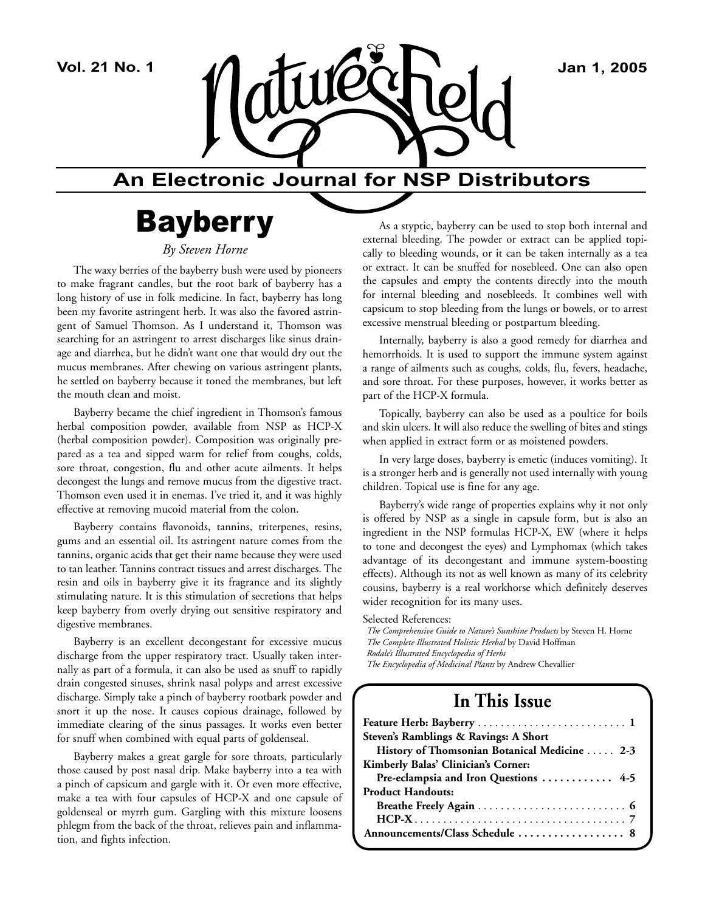

## **An Electronic Journal for NSP Distributors**

# Bayberry

*By Steven Horne*

The waxy berries of the bayberry bush were used by pioneers to make fragrant candles, but the root bark of bayberry has a long history of use in folk medicine. In fact, bayberry has long been my favorite astringent herb. It was also the favored astringent of Samuel Thomson. As I understand it, Thomson was searching for an astringent to arrest discharges like sinus drainage and diarrhea, but he didn't want one that would dry out the mucus membranes. After chewing on various astringent plants, he settled on bayberry because it toned the membranes, but left the mouth clean and moist.

Bayberry became the chief ingredient in Thomson's famous herbal composition powder, available from NSP as HCP-X (herbal composition powder). Composition was originally prepared as a tea and sipped warm for relief from coughs, colds, sore throat, congestion, flu and other acute ailments. It helps decongest the lungs and remove mucus from the digestive tract. Thomson even used it in enemas. I've tried it, and it was highly effective at removing mucoid material from the colon.

Bayberry contains flavonoids, tannins, triterpenes, resins, gums and an essential oil. Its astringent nature comes from the tannins, organic acids that get their name because they were used to tan leather. Tannins contract tissues and arrest discharges. The resin and oils in bayberry give it its fragrance and its slightly stimulating nature. It is this stimulation of secretions that helps keep bayberry from overly drying out sensitive respiratory and digestive membranes.

Bayberry is an excellent decongestant for excessive mucus discharge from the upper respiratory tract. Usually taken internally as part of a formula, it can also be used as snuff to rapidly drain congested sinuses, shrink nasal polyps and arrest excessive discharge. Simply take a pinch of bayberry rootbark powder and snort it up the nose. It causes copious drainage, followed by immediate clearing of the sinus passages. It works even better for snuff when combined with equal parts of goldenseal.

Bayberry makes a great gargle for sore throats, particularly those caused by post nasal drip. Make bayberry into a tea with a pinch of capsicum and gargle with it. Or even more effective, make a tea with four capsules of HCP-X and one capsule of goldenseal or myrrh gum. Gargling with this mixture loosens phlegm from the back of the throat, relieves pain and inflammation, and fights infection.

As a styptic, bayberry can be used to stop both internal and external bleeding. The powder or extract can be applied topically to bleeding wounds, or it can be taken internally as a tea or extract. It can be snuffed for nosebleed. One can also open the capsules and empty the contents directly into the mouth for internal bleeding and nosebleeds. It combines well with capsicum to stop bleeding from the lungs or bowels, or to arrest excessive menstrual bleeding or postpartum bleeding.

Internally, bayberry is also a good remedy for diarrhea and hemorrhoids. It is used to support the immune system against a range of ailments such as coughs, colds, flu, fevers, headache, and sore throat. For these purposes, however, it works better as part of the HCP-X formula.

Topically, bayberry can also be used as a poultice for boils and skin ulcers. It will also reduce the swelling of bites and stings when applied in extract form or as moistened powders.

In very large doses, bayberry is emetic (induces vomiting). It is a stronger herb and is generally not used internally with young children. Topical use is fine for any age.

Bayberry's wide range of properties explains why it not only is offered by NSP as a single in capsule form, but is also an ingredient in the NSP formulas HCP-X, EW (where it helps to tone and decongest the eyes) and Lymphomax (which takes advantage of its decongestant and immune system-boosting effects). Although its not as well known as many of its celebrity cousins, bayberry is a real workhorse which definitely deserves wider recognition for its many uses.

*The Comprehensive Guide to Nature's Sunshine Products* by Steven H. Horne *The Complete Illustrated Holistic Herbal* by David Hoffman *Rodale's Illustrated Encyclopedia of Herbs The Encyclopedia of Medicinal Plants* by Andrew Chevallier

## **In This Issue**

| Steven's Ramblings & Ravings: A Short        |
|----------------------------------------------|
| History of Thomsonian Botanical Medicine 2-3 |
| Kimberly Balas' Clinician's Corner:          |
| Pre-eclampsia and Iron Questions  4-5        |
| <b>Product Handouts:</b>                     |
|                                              |
|                                              |
| Announcements/Class Schedule  8              |

Selected References: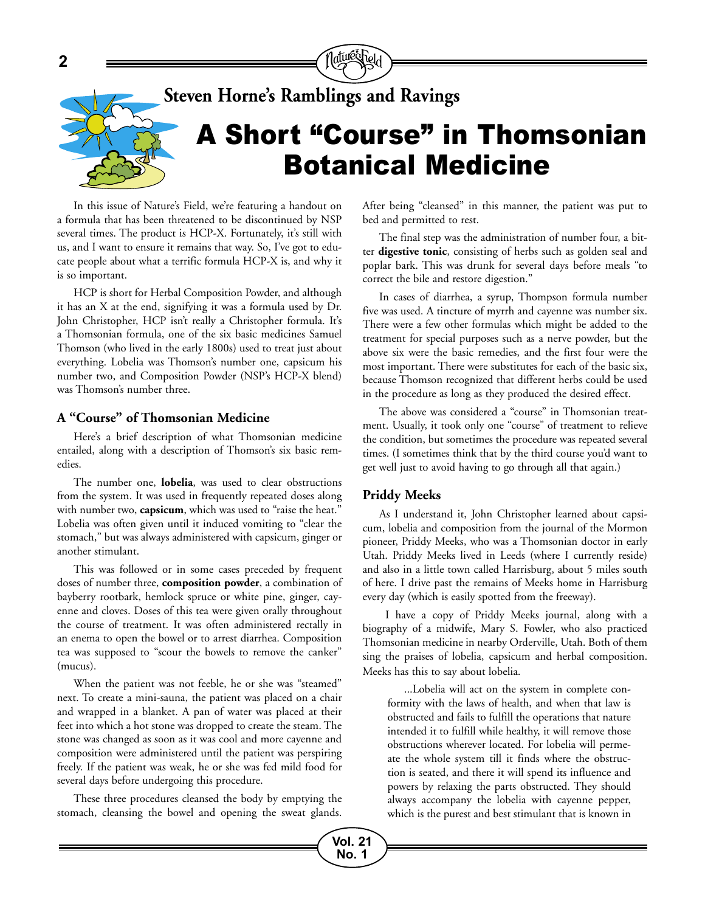

**Steven Horne's Ramblings and Ravings**

# A Short "Course" in Thomsonian Botanical Medicine

In this issue of Nature's Field, we're featuring a handout on a formula that has been threatened to be discontinued by NSP several times. The product is HCP-X. Fortunately, it's still with us, and I want to ensure it remains that way. So, I've got to educate people about what a terrific formula HCP-X is, and why it is so important.

HCP is short for Herbal Composition Powder, and although it has an X at the end, signifying it was a formula used by Dr. John Christopher, HCP isn't really a Christopher formula. It's a Thomsonian formula, one of the six basic medicines Samuel Thomson (who lived in the early 1800s) used to treat just about everything. Lobelia was Thomson's number one, capsicum his number two, and Composition Powder (NSP's HCP-X blend) was Thomson's number three.

#### **A "Course" of Thomsonian Medicine**

Here's a brief description of what Thomsonian medicine entailed, along with a description of Thomson's six basic remedies.

The number one, **lobelia**, was used to clear obstructions from the system. It was used in frequently repeated doses along with number two, **capsicum**, which was used to "raise the heat." Lobelia was often given until it induced vomiting to "clear the stomach," but was always administered with capsicum, ginger or another stimulant.

This was followed or in some cases preceded by frequent doses of number three, **composition powder**, a combination of bayberry rootbark, hemlock spruce or white pine, ginger, cayenne and cloves. Doses of this tea were given orally throughout the course of treatment. It was often administered rectally in an enema to open the bowel or to arrest diarrhea. Composition tea was supposed to "scour the bowels to remove the canker" (mucus).

When the patient was not feeble, he or she was "steamed" next. To create a mini-sauna, the patient was placed on a chair and wrapped in a blanket. A pan of water was placed at their feet into which a hot stone was dropped to create the steam. The stone was changed as soon as it was cool and more cayenne and composition were administered until the patient was perspiring freely. If the patient was weak, he or she was fed mild food for several days before undergoing this procedure.

These three procedures cleansed the body by emptying the stomach, cleansing the bowel and opening the sweat glands. After being "cleansed" in this manner, the patient was put to bed and permitted to rest.

The final step was the administration of number four, a bitter **digestive tonic**, consisting of herbs such as golden seal and poplar bark. This was drunk for several days before meals "to correct the bile and restore digestion."

In cases of diarrhea, a syrup, Thompson formula number five was used. A tincture of myrrh and cayenne was number six. There were a few other formulas which might be added to the treatment for special purposes such as a nerve powder, but the above six were the basic remedies, and the first four were the most important. There were substitutes for each of the basic six, because Thomson recognized that different herbs could be used in the procedure as long as they produced the desired effect.

The above was considered a "course" in Thomsonian treatment. Usually, it took only one "course" of treatment to relieve the condition, but sometimes the procedure was repeated several times. (I sometimes think that by the third course you'd want to get well just to avoid having to go through all that again.)

#### **Priddy Meeks**

As I understand it, John Christopher learned about capsicum, lobelia and composition from the journal of the Mormon pioneer, Priddy Meeks, who was a Thomsonian doctor in early Utah. Priddy Meeks lived in Leeds (where I currently reside) and also in a little town called Harrisburg, about 5 miles south of here. I drive past the remains of Meeks home in Harrisburg every day (which is easily spotted from the freeway).

 I have a copy of Priddy Meeks journal, along with a biography of a midwife, Mary S. Fowler, who also practiced Thomsonian medicine in nearby Orderville, Utah. Both of them sing the praises of lobelia, capsicum and herbal composition. Meeks has this to say about lobelia.

...Lobelia will act on the system in complete conformity with the laws of health, and when that law is obstructed and fails to fulfill the operations that nature intended it to fulfill while healthy, it will remove those obstructions wherever located. For lobelia will permeate the whole system till it finds where the obstruction is seated, and there it will spend its influence and powers by relaxing the parts obstructed. They should always accompany the lobelia with cayenne pepper, which is the purest and best stimulant that is known in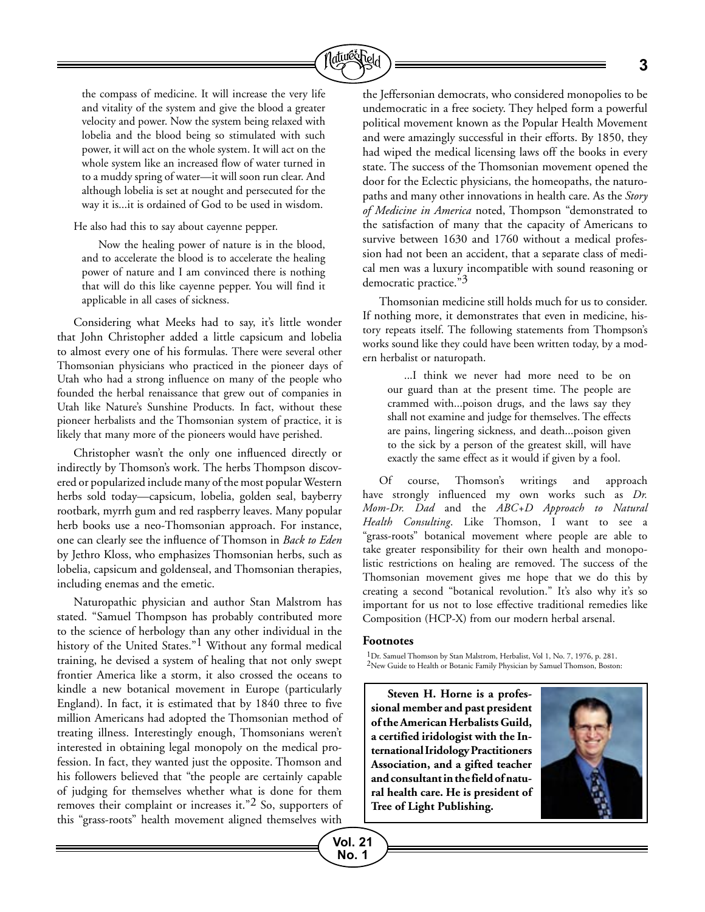

the compass of medicine. It will increase the very life and vitality of the system and give the blood a greater velocity and power. Now the system being relaxed with lobelia and the blood being so stimulated with such power, it will act on the whole system. It will act on the whole system like an increased flow of water turned in to a muddy spring of water—it will soon run clear. And although lobelia is set at nought and persecuted for the way it is...it is ordained of God to be used in wisdom.

#### He also had this to say about cayenne pepper.

Now the healing power of nature is in the blood, and to accelerate the blood is to accelerate the healing power of nature and I am convinced there is nothing that will do this like cayenne pepper. You will find it applicable in all cases of sickness.

Considering what Meeks had to say, it's little wonder that John Christopher added a little capsicum and lobelia to almost every one of his formulas. There were several other Thomsonian physicians who practiced in the pioneer days of Utah who had a strong influence on many of the people who founded the herbal renaissance that grew out of companies in Utah like Nature's Sunshine Products. In fact, without these pioneer herbalists and the Thomsonian system of practice, it is likely that many more of the pioneers would have perished.

Christopher wasn't the only one influenced directly or indirectly by Thomson's work. The herbs Thompson discovered or popularized include many of the most popular Western herbs sold today—capsicum, lobelia, golden seal, bayberry rootbark, myrrh gum and red raspberry leaves. Many popular herb books use a neo-Thomsonian approach. For instance, one can clearly see the influence of Thomson in *Back to Eden* by Jethro Kloss, who emphasizes Thomsonian herbs, such as lobelia, capsicum and goldenseal, and Thomsonian therapies, including enemas and the emetic.

Naturopathic physician and author Stan Malstrom has stated. "Samuel Thompson has probably contributed more to the science of herbology than any other individual in the history of the United States."<sup>1</sup> Without any formal medical training, he devised a system of healing that not only swept frontier America like a storm, it also crossed the oceans to kindle a new botanical movement in Europe (particularly England). In fact, it is estimated that by 1840 three to five million Americans had adopted the Thomsonian method of treating illness. Interestingly enough, Thomsonians weren't interested in obtaining legal monopoly on the medical profession. In fact, they wanted just the opposite. Thomson and his followers believed that "the people are certainly capable of judging for themselves whether what is done for them removes their complaint or increases it."2 So, supporters of this "grass-roots" health movement aligned themselves with

the Jeffersonian democrats, who considered monopolies to be undemocratic in a free society. They helped form a powerful political movement known as the Popular Health Movement and were amazingly successful in their efforts. By 1850, they had wiped the medical licensing laws off the books in every state. The success of the Thomsonian movement opened the door for the Eclectic physicians, the homeopaths, the naturopaths and many other innovations in health care. As the *Story of Medicine in America* noted, Thompson "demonstrated to the satisfaction of many that the capacity of Americans to survive between 1630 and 1760 without a medical profession had not been an accident, that a separate class of medical men was a luxury incompatible with sound reasoning or democratic practice."3

Thomsonian medicine still holds much for us to consider. If nothing more, it demonstrates that even in medicine, history repeats itself. The following statements from Thompson's works sound like they could have been written today, by a modern herbalist or naturopath.

...I think we never had more need to be on our guard than at the present time. The people are crammed with...poison drugs, and the laws say they shall not examine and judge for themselves. The effects are pains, lingering sickness, and death...poison given to the sick by a person of the greatest skill, will have exactly the same effect as it would if given by a fool.

Of course, Thomson's writings and approach have strongly influenced my own works such as *Dr. Mom-Dr. Dad* and the *ABC+D Approach to Natural Health Consulting*. Like Thomson, I want to see a "grass-roots" botanical movement where people are able to take greater responsibility for their own health and monopolistic restrictions on healing are removed. The success of the Thomsonian movement gives me hope that we do this by creating a second "botanical revolution." It's also why it's so important for us not to lose effective traditional remedies like Composition (HCP-X) from our modern herbal arsenal.

#### **Footnotes**

1Dr. Samuel Thomson by Stan Malstrom, Herbalist, Vol 1, No. 7, 1976, p. 281. 2New Guide to Health or Botanic Family Physician by Samuel Thomson, Boston:

**Steven H. Horne is a professional member and past president of the American Herbalists Guild, a certified iridologist with the International Iridology Practitioners Association, and a gifted teacher and consultant in the field of natural health care. He is president of Tree of Light Publishing.**

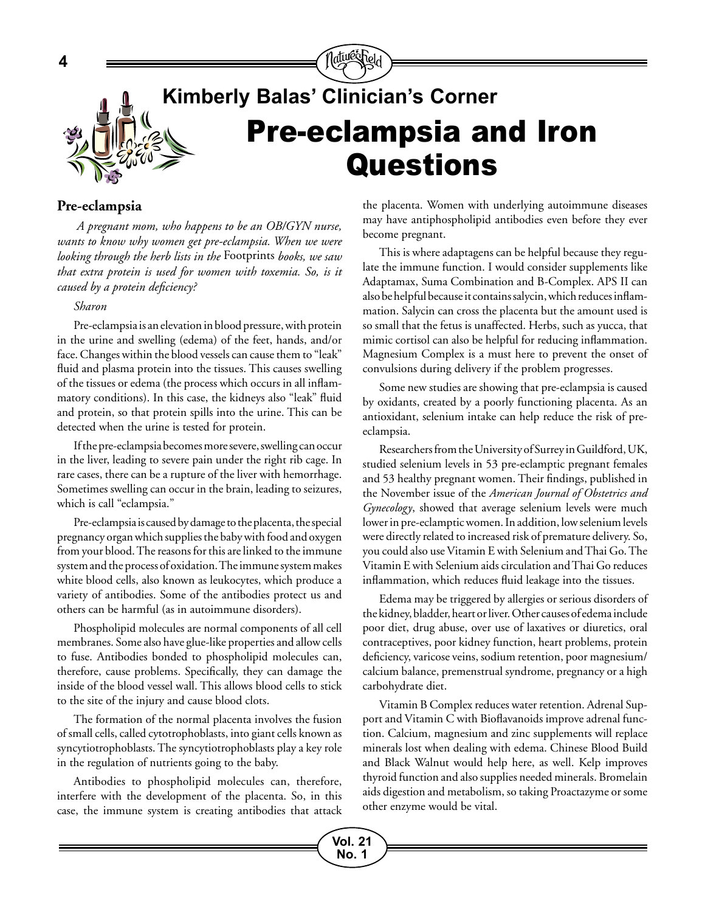

# **Kimberly Balas' Clinician's Corner** Pre-eclampsia and Iron Questions

#### **Pre-eclampsia**

**4**

 *A pregnant mom, who happens to be an OB/GYN nurse, wants to know why women get pre-eclampsia. When we were looking through the herb lists in the* Footprints *books, we saw that extra protein is used for women with toxemia. So, is it caused by a protein deficiency?* 

#### *Sharon*

Pre-eclampsia is an elevation in blood pressure, with protein in the urine and swelling (edema) of the feet, hands, and/or face. Changes within the blood vessels can cause them to "leak" fluid and plasma protein into the tissues. This causes swelling of the tissues or edema (the process which occurs in all inflammatory conditions). In this case, the kidneys also "leak" fluid and protein, so that protein spills into the urine. This can be detected when the urine is tested for protein.

If the pre-eclampsia becomes more severe, swelling can occur in the liver, leading to severe pain under the right rib cage. In rare cases, there can be a rupture of the liver with hemorrhage. Sometimes swelling can occur in the brain, leading to seizures, which is call "eclampsia."

Pre-eclampsia is caused by damage to the placenta, the special pregnancy organ which supplies the baby with food and oxygen from your blood. The reasons for this are linked to the immune system and the process of oxidation. The immune system makes white blood cells, also known as leukocytes, which produce a variety of antibodies. Some of the antibodies protect us and others can be harmful (as in autoimmune disorders).

Phospholipid molecules are normal components of all cell membranes. Some also have glue-like properties and allow cells to fuse. Antibodies bonded to phospholipid molecules can, therefore, cause problems. Specifically, they can damage the inside of the blood vessel wall. This allows blood cells to stick to the site of the injury and cause blood clots.

The formation of the normal placenta involves the fusion of small cells, called cytotrophoblasts, into giant cells known as syncytiotrophoblasts. The syncytiotrophoblasts play a key role in the regulation of nutrients going to the baby.

Antibodies to phospholipid molecules can, therefore, interfere with the development of the placenta. So, in this case, the immune system is creating antibodies that attack the placenta. Women with underlying autoimmune diseases may have antiphospholipid antibodies even before they ever become pregnant.

This is where adaptagens can be helpful because they regulate the immune function. I would consider supplements like Adaptamax, Suma Combination and B-Complex. APS II can also be helpful because it contains salycin, which reduces inflammation. Salycin can cross the placenta but the amount used is so small that the fetus is unaffected. Herbs, such as yucca, that mimic cortisol can also be helpful for reducing inflammation. Magnesium Complex is a must here to prevent the onset of convulsions during delivery if the problem progresses.

Some new studies are showing that pre-eclampsia is caused by oxidants, created by a poorly functioning placenta. As an antioxidant, selenium intake can help reduce the risk of preeclampsia.

Researchers from the University of Surrey in Guildford, UK, studied selenium levels in 53 pre-eclamptic pregnant females and 53 healthy pregnant women. Their findings, published in the November issue of the *American Journal of Obstetrics and Gynecology*, showed that average selenium levels were much lower in pre-eclamptic women. In addition, low selenium levels were directly related to increased risk of premature delivery. So, you could also use Vitamin E with Selenium and Thai Go. The Vitamin E with Selenium aids circulation and Thai Go reduces inflammation, which reduces fluid leakage into the tissues.

Edema may be triggered by allergies or serious disorders of the kidney, bladder, heart or liver. Other causes of edema include poor diet, drug abuse, over use of laxatives or diuretics, oral contraceptives, poor kidney function, heart problems, protein deficiency, varicose veins, sodium retention, poor magnesium/ calcium balance, premenstrual syndrome, pregnancy or a high carbohydrate diet.

Vitamin B Complex reduces water retention. Adrenal Support and Vitamin C with Bioflavanoids improve adrenal function. Calcium, magnesium and zinc supplements will replace minerals lost when dealing with edema. Chinese Blood Build and Black Walnut would help here, as well. Kelp improves thyroid function and also supplies needed minerals. Bromelain aids digestion and metabolism, so taking Proactazyme or some other enzyme would be vital.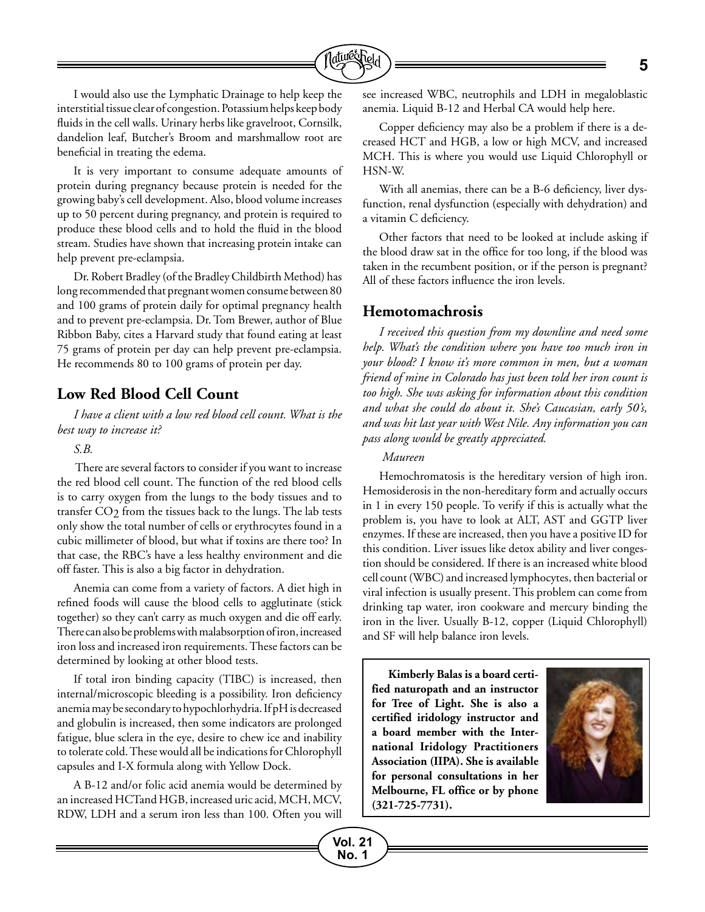

I would also use the Lymphatic Drainage to help keep the interstitial tissue clear of congestion. Potassium helps keep body fluids in the cell walls. Urinary herbs like gravelroot, Cornsilk, dandelion leaf, Butcher's Broom and marshmallow root are beneficial in treating the edema.

It is very important to consume adequate amounts of protein during pregnancy because protein is needed for the growing baby's cell development. Also, blood volume increases up to 50 percent during pregnancy, and protein is required to produce these blood cells and to hold the fluid in the blood stream. Studies have shown that increasing protein intake can help prevent pre-eclampsia.

Dr. Robert Bradley (of the Bradley Childbirth Method) has long recommended that pregnant women consume between 80 and 100 grams of protein daily for optimal pregnancy health and to prevent pre-eclampsia. Dr. Tom Brewer, author of Blue Ribbon Baby, cites a Harvard study that found eating at least 75 grams of protein per day can help prevent pre-eclampsia. He recommends 80 to 100 grams of protein per day.

#### **Low Red Blood Cell Count**

*I have a client with a low red blood cell count. What is the best way to increase it?* 

#### *S.B.*

 There are several factors to consider if you want to increase the red blood cell count. The function of the red blood cells is to carry oxygen from the lungs to the body tissues and to transfer CO<sub>2</sub> from the tissues back to the lungs. The lab tests only show the total number of cells or erythrocytes found in a cubic millimeter of blood, but what if toxins are there too? In that case, the RBC's have a less healthy environment and die off faster. This is also a big factor in dehydration.

Anemia can come from a variety of factors. A diet high in refined foods will cause the blood cells to agglutinate (stick together) so they can't carry as much oxygen and die off early. There can also be problems with malabsorption of iron, increased iron loss and increased iron requirements. These factors can be determined by looking at other blood tests.

If total iron binding capacity (TIBC) is increased, then internal/microscopic bleeding is a possibility. Iron deficiency anemia may be secondary to hypochlorhydria. If pH is decreased and globulin is increased, then some indicators are prolonged fatigue, blue sclera in the eye, desire to chew ice and inability to tolerate cold. These would all be indications for Chlorophyll capsules and I-X formula along with Yellow Dock.

A B-12 and/or folic acid anemia would be determined by an increased HCTand HGB, increased uric acid, MCH, MCV, RDW, LDH and a serum iron less than 100. Often you will see increased WBC, neutrophils and LDH in megaloblastic anemia. Liquid B-12 and Herbal CA would help here.

Copper deficiency may also be a problem if there is a decreased HCT and HGB, a low or high MCV, and increased MCH. This is where you would use Liquid Chlorophyll or HSN-W.

With all anemias, there can be a B-6 deficiency, liver dysfunction, renal dysfunction (especially with dehydration) and a vitamin C deficiency.

Other factors that need to be looked at include asking if the blood draw sat in the office for too long, if the blood was taken in the recumbent position, or if the person is pregnant? All of these factors influence the iron levels.

#### **Hemotomachrosis**

*I received this question from my downline and need some help. What's the condition where you have too much iron in your blood? I know it's more common in men, but a woman friend of mine in Colorado has just been told her iron count is too high. She was asking for information about this condition and what she could do about it. She's Caucasian, early 50's, and was hit last year with West Nile. Any information you can pass along would be greatly appreciated.* 

#### *Maureen*

Hemochromatosis is the hereditary version of high iron. Hemosiderosis in the non-hereditary form and actually occurs in 1 in every 150 people. To verify if this is actually what the problem is, you have to look at ALT, AST and GGTP liver enzymes. If these are increased, then you have a positive ID for this condition. Liver issues like detox ability and liver congestion should be considered. If there is an increased white blood cell count (WBC) and increased lymphocytes, then bacterial or viral infection is usually present. This problem can come from drinking tap water, iron cookware and mercury binding the iron in the liver. Usually B-12, copper (Liquid Chlorophyll) and SF will help balance iron levels.

**Kimberly Balas is a board certified naturopath and an instructor for Tree of Light. She is also a certified iridology instructor and a board member with the International Iridology Practitioners Association (IIPA). She is available for personal consultations in her Melbourne, FL office or by phone (321-725-7731).**

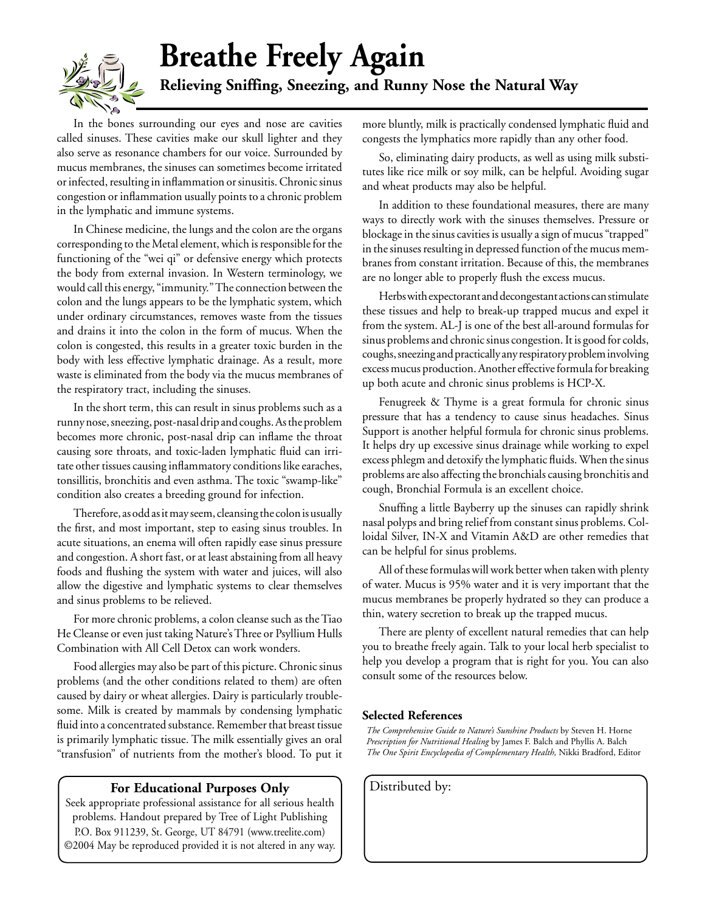

## **Breathe Freely Again Relieving Sniffing, Sneezing, and Runny Nose the Natural Way**

In the bones surrounding our eyes and nose are cavities called sinuses. These cavities make our skull lighter and they also serve as resonance chambers for our voice. Surrounded by mucus membranes, the sinuses can sometimes become irritated or infected, resulting in inflammation or sinusitis. Chronic sinus congestion or inflammation usually points to a chronic problem in the lymphatic and immune systems.

In Chinese medicine, the lungs and the colon are the organs corresponding to the Metal element, which is responsible for the functioning of the "wei qi" or defensive energy which protects the body from external invasion. In Western terminology, we would call this energy, "immunity." The connection between the colon and the lungs appears to be the lymphatic system, which under ordinary circumstances, removes waste from the tissues and drains it into the colon in the form of mucus. When the colon is congested, this results in a greater toxic burden in the body with less effective lymphatic drainage. As a result, more waste is eliminated from the body via the mucus membranes of the respiratory tract, including the sinuses.

In the short term, this can result in sinus problems such as a runny nose, sneezing, post-nasal drip and coughs. As the problem becomes more chronic, post-nasal drip can inflame the throat causing sore throats, and toxic-laden lymphatic fluid can irritate other tissues causing inflammatory conditions like earaches, tonsillitis, bronchitis and even asthma. The toxic "swamp-like" condition also creates a breeding ground for infection.

Therefore, as odd as it may seem, cleansing the colon is usually the first, and most important, step to easing sinus troubles. In acute situations, an enema will often rapidly ease sinus pressure and congestion. A short fast, or at least abstaining from all heavy foods and flushing the system with water and juices, will also allow the digestive and lymphatic systems to clear themselves and sinus problems to be relieved.

For more chronic problems, a colon cleanse such as the Tiao He Cleanse or even just taking Nature's Three or Psyllium Hulls Combination with All Cell Detox can work wonders.

Food allergies may also be part of this picture. Chronic sinus problems (and the other conditions related to them) are often caused by dairy or wheat allergies. Dairy is particularly troublesome. Milk is created by mammals by condensing lymphatic fluid into a concentrated substance. Remember that breast tissue is primarily lymphatic tissue. The milk essentially gives an oral "transfusion" of nutrients from the mother's blood. To put it

#### **For Educational Purposes Only** | Distributed by:

Seek appropriate professional assistance for all serious health problems. Handout prepared by Tree of Light Publishing P.O. Box 911239, St. George, UT 84791 (www.treelite.com) ©2004 May be reproduced provided it is not altered in any way. more bluntly, milk is practically condensed lymphatic fluid and congests the lymphatics more rapidly than any other food.

So, eliminating dairy products, as well as using milk substitutes like rice milk or soy milk, can be helpful. Avoiding sugar and wheat products may also be helpful.

In addition to these foundational measures, there are many ways to directly work with the sinuses themselves. Pressure or blockage in the sinus cavities is usually a sign of mucus "trapped" in the sinuses resulting in depressed function of the mucus membranes from constant irritation. Because of this, the membranes are no longer able to properly flush the excess mucus.

Herbs with expectorant and decongestant actions can stimulate these tissues and help to break-up trapped mucus and expel it from the system. AL-J is one of the best all-around formulas for sinus problems and chronic sinus congestion. It is good for colds, coughs, sneezing and practically any respiratory problem involving excess mucus production. Another effective formula for breaking up both acute and chronic sinus problems is HCP-X.

Fenugreek & Thyme is a great formula for chronic sinus pressure that has a tendency to cause sinus headaches. Sinus Support is another helpful formula for chronic sinus problems. It helps dry up excessive sinus drainage while working to expel excess phlegm and detoxify the lymphatic fluids. When the sinus problems are also affecting the bronchials causing bronchitis and cough, Bronchial Formula is an excellent choice.

Snuffing a little Bayberry up the sinuses can rapidly shrink nasal polyps and bring relief from constant sinus problems. Colloidal Silver, IN-X and Vitamin A&D are other remedies that can be helpful for sinus problems.

All of these formulas will work better when taken with plenty of water. Mucus is 95% water and it is very important that the mucus membranes be properly hydrated so they can produce a thin, watery secretion to break up the trapped mucus.

There are plenty of excellent natural remedies that can help you to breathe freely again. Talk to your local herb specialist to help you develop a program that is right for you. You can also consult some of the resources below.

#### **Selected References**

*The Comprehensive Guide to Nature's Sunshine Products* by Steven H. Horne *Prescription for Nutritional Healing* by James F. Balch and Phyllis A. Balch *The One Spirit Encyclopedia of Complementary Health,* Nikki Bradford, Editor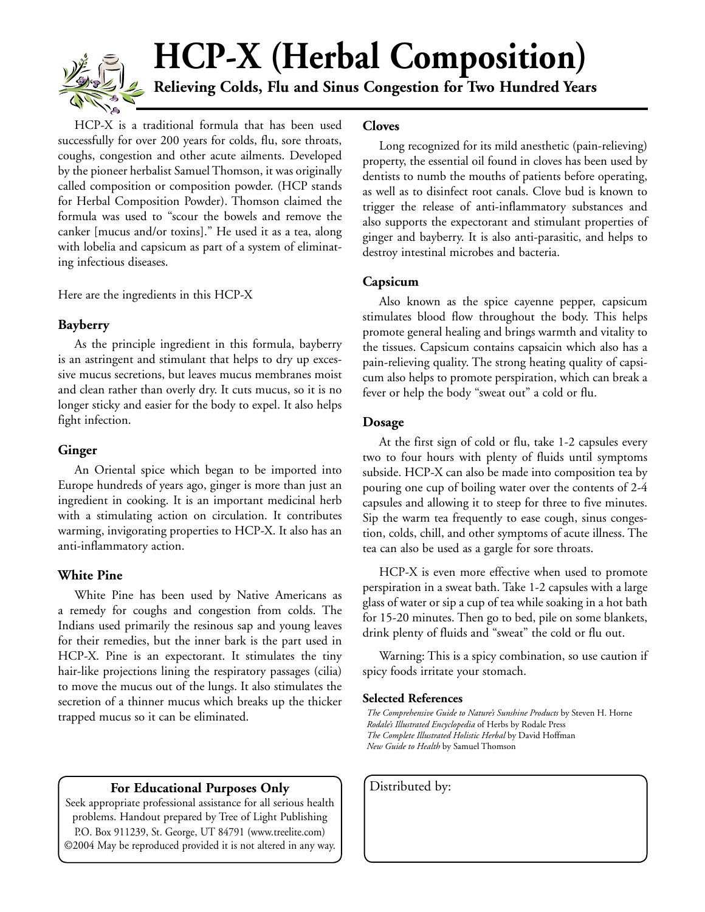

# **HCP-X (Herbal Composition)**

**Relieving Colds, Flu and Sinus Congestion for Two Hundred Years** 

HCP-X is a traditional formula that has been used successfully for over 200 years for colds, flu, sore throats, coughs, congestion and other acute ailments. Developed by the pioneer herbalist Samuel Thomson, it was originally called composition or composition powder. (HCP stands for Herbal Composition Powder). Thomson claimed the formula was used to "scour the bowels and remove the canker [mucus and/or toxins]." He used it as a tea, along with lobelia and capsicum as part of a system of eliminating infectious diseases.

Here are the ingredients in this HCP-X

#### **Bayberry**

As the principle ingredient in this formula, bayberry is an astringent and stimulant that helps to dry up excessive mucus secretions, but leaves mucus membranes moist and clean rather than overly dry. It cuts mucus, so it is no longer sticky and easier for the body to expel. It also helps fight infection.

#### **Ginger**

An Oriental spice which began to be imported into Europe hundreds of years ago, ginger is more than just an ingredient in cooking. It is an important medicinal herb with a stimulating action on circulation. It contributes warming, invigorating properties to HCP-X. It also has an anti-inflammatory action.

#### **White Pine**

White Pine has been used by Native Americans as a remedy for coughs and congestion from colds. The Indians used primarily the resinous sap and young leaves for their remedies, but the inner bark is the part used in HCP-X. Pine is an expectorant. It stimulates the tiny hair-like projections lining the respiratory passages (cilia) to move the mucus out of the lungs. It also stimulates the secretion of a thinner mucus which breaks up the thicker trapped mucus so it can be eliminated.

#### **For Educational Purposes Only** | Distributed by:

Seek appropriate professional assistance for all serious health problems. Handout prepared by Tree of Light Publishing P.O. Box 911239, St. George, UT 84791 (www.treelite.com) ©2004 May be reproduced provided it is not altered in any way.

#### **Cloves**

Long recognized for its mild anesthetic (pain-relieving) property, the essential oil found in cloves has been used by dentists to numb the mouths of patients before operating, as well as to disinfect root canals. Clove bud is known to trigger the release of anti-inflammatory substances and also supports the expectorant and stimulant properties of ginger and bayberry. It is also anti-parasitic, and helps to destroy intestinal microbes and bacteria.

#### **Capsicum**

Also known as the spice cayenne pepper, capsicum stimulates blood flow throughout the body. This helps promote general healing and brings warmth and vitality to the tissues. Capsicum contains capsaicin which also has a pain-relieving quality. The strong heating quality of capsicum also helps to promote perspiration, which can break a fever or help the body "sweat out" a cold or flu.

#### **Dosage**

At the first sign of cold or flu, take 1-2 capsules every two to four hours with plenty of fluids until symptoms subside. HCP-X can also be made into composition tea by pouring one cup of boiling water over the contents of 2-4 capsules and allowing it to steep for three to five minutes. Sip the warm tea frequently to ease cough, sinus congestion, colds, chill, and other symptoms of acute illness. The tea can also be used as a gargle for sore throats.

HCP-X is even more effective when used to promote perspiration in a sweat bath. Take 1-2 capsules with a large glass of water or sip a cup of tea while soaking in a hot bath for 15-20 minutes. Then go to bed, pile on some blankets, drink plenty of fluids and "sweat" the cold or flu out.

Warning: This is a spicy combination, so use caution if spicy foods irritate your stomach.

#### **Selected References**

*The Comprehensive Guide to Nature's Sunshine Products* by Steven H. Horne *Rodale's Illustrated Encyclopedia* of Herbs by Rodale Press *The Complete Illustrated Holistic Herbal* by David Hoffman *New Guide to Health* by Samuel Thomson